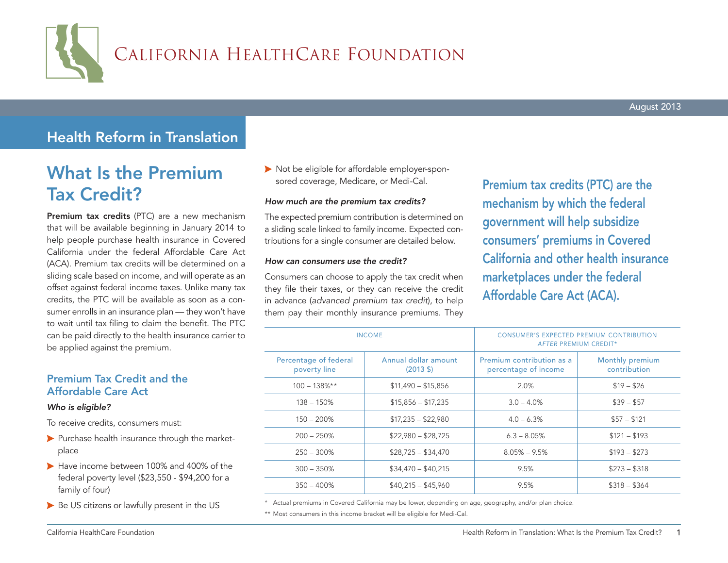

## Health Reform in Translation

# What Is the Premium Tax Credit?

**Premium tax credits** (PTC) are a new mechanism that will be available beginning in January 2014 to help people purchase health insurance in Covered California under the federal Affordable Care Act (ACA). Premium tax credits will be determined on a sliding scale based on income, and will operate as an offset against federal income taxes. Unlike many tax credits, the PTC will be available as soon as a consumer enrolls in an insurance plan — they won't have to wait until tax filing to claim the benefit. The PTC can be paid directly to the health insurance carrier to be applied against the premium.

### Premium Tax Credit and the Affordable Care Act

#### *Who is eligible?*

To receive credits, consumers must:

- $\blacktriangleright$  Purchase health insurance through the marketplace
- Have income between 100% and 400% of the federal poverty level (\$23,550 - \$94,200 for a family of four)
- Be US citizens or lawfully present in the US

 Not be eligible for affordable employer-sponsored coverage, Medicare, or Medi-Cal.

#### *How much are the premium tax credits?*

The expected premium contribution is determined on a sliding scale linked to family income. Expected contributions for a single consumer are detailed below.

#### *How can consumers use the credit?*

Consumers can choose to apply the tax credit when they file their taxes, or they can receive the credit in advance (*advanced premium tax credit*), to help them pay their monthly insurance premiums. They

Premium tax credits (PTC) are the mechanism by which the federal government will help subsidize consumers' premiums in Covered California and other health insurance marketplaces under the federal Affordable Care Act (ACA).

| <b>INCOME</b>                         |                                             | <b>CONSUMER'S EXPECTED PREMIUM CONTRIBUTION</b><br><b>AFTER PREMIUM CREDIT*</b> |                                 |
|---------------------------------------|---------------------------------------------|---------------------------------------------------------------------------------|---------------------------------|
| Percentage of federal<br>poverty line | Annual dollar amount<br>$(2013 \text{ } $)$ | Premium contribution as a<br>percentage of income                               | Monthly premium<br>contribution |
| $100 - 138\%$ **                      | $$11,490 - $15,856$                         | 2.0%                                                                            | $$19 - $26$                     |
| $138 - 150\%$                         | $$15,856 - $17,235$                         | $3.0 - 4.0\%$                                                                   | $$39 - $57$                     |
| $150 - 200\%$                         | $$17,235 - $22,980$                         | $4.0 - 6.3%$                                                                    | $$57 - $121$                    |
| $200 - 250%$                          | $$22,980 - $28,725$                         | $6.3 - 8.05%$                                                                   | $$121 - $193$                   |
| $250 - 300\%$                         | $$28,725 - $34,470$                         | $8.05\% - 9.5\%$                                                                | $$193 - $273$                   |
| $300 - 350%$                          | $$34,470 - $40,215$                         | 9.5%                                                                            | $$273 - $318$                   |
| $350 - 400\%$                         | $$40,215 - $45,960$                         | 9.5%                                                                            | $$318 - $364$                   |

\* Actual premiums in Covered California may be lower, depending on age, geography, and/or plan choice.

\*\* Most consumers in this income bracket will be eligible for Medi-Cal.